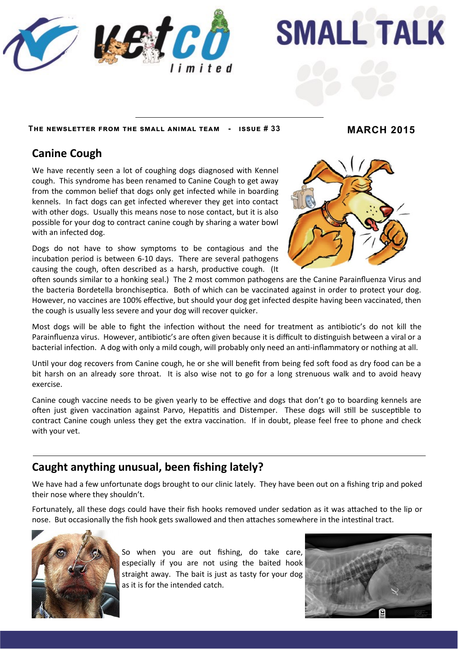



**The newsletter from the small animal team - issue # 33 MARCH 2015**

### **Canine Cough**

We have recently seen a lot of coughing dogs diagnosed with Kennel cough. This syndrome has been renamed to Canine Cough to get away from the common belief that dogs only get infected while in boarding kennels. In fact dogs can get infected wherever they get into contact with other dogs. Usually this means nose to nose contact, but it is also possible for your dog to contract canine cough by sharing a water bowl with an infected dog.

Dogs do not have to show symptoms to be contagious and the incubation period is between 6-10 days. There are several pathogens causing the cough, often described as a harsh, productive cough. (It



often sounds similar to a honking seal.) The 2 most common pathogens are the Canine Parainfluenza Virus and the bacteria Bordetella bronchiseptica. Both of which can be vaccinated against in order to protect your dog. However, no vaccines are 100% effective, but should your dog get infected despite having been vaccinated, then the cough is usually less severe and your dog will recover quicker.

Most dogs will be able to fight the infection without the need for treatment as antibiotic's do not kill the Parainfluenza virus. However, antibiotic's are often given because it is difficult to distinguish between a viral or a bacterial infection. A dog with only a mild cough, will probably only need an anti-inflammatory or nothing at all.

Until your dog recovers from Canine cough, he or she will benefit from being fed soft food as dry food can be a bit harsh on an already sore throat. It is also wise not to go for a long strenuous walk and to avoid heavy exercise.

Canine cough vaccine needs to be given yearly to be effective and dogs that don't go to boarding kennels are often just given vaccination against Parvo, Hepatitis and Distemper. These dogs will still be susceptible to contract Canine cough unless they get the extra vaccination. If in doubt, please feel free to phone and check with your vet.

# **Caught anything unusual, been fishing lately?**

We have had a few unfortunate dogs brought to our clinic lately. They have been out on a fishing trip and poked their nose where they shouldn't.

Fortunately, all these dogs could have their fish hooks removed under sedation as it was attached to the lip or nose. But occasionally the fish hook gets swallowed and then attaches somewhere in the intestinal tract.



So when you are out fishing, do take care, especially if you are not using the baited hook straight away. The bait is just as tasty for your dog as it is for the intended catch.